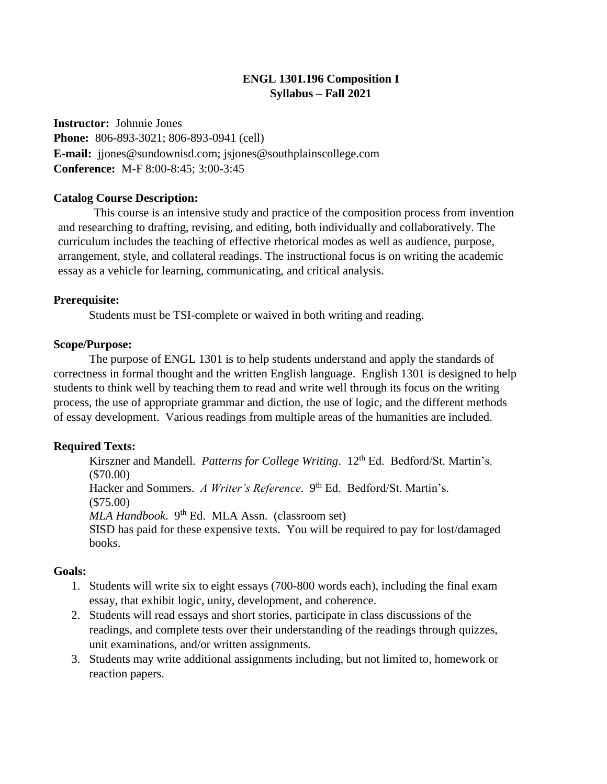# **ENGL 1301.196 Composition I Syllabus – Fall 2021**

**Instructor:** Johnnie Jones **Phone:** 806-893-3021; 806-893-0941 (cell) **E-mail:** jjones@sundownisd.com; jsjones@southplainscollege.com **Conference:** M-F 8:00-8:45; 3:00-3:45

### **Catalog Course Description:**

This course is an intensive study and practice of the composition process from invention and researching to drafting, revising, and editing, both individually and collaboratively. The curriculum includes the teaching of effective rhetorical modes as well as audience, purpose, arrangement, style, and collateral readings. The instructional focus is on writing the academic essay as a vehicle for learning, communicating, and critical analysis.

#### **Prerequisite:**

Students must be TSI-complete or waived in both writing and reading.

#### **Scope/Purpose:**

The purpose of ENGL 1301 is to help students understand and apply the standards of correctness in formal thought and the written English language. English 1301 is designed to help students to think well by teaching them to read and write well through its focus on the writing process, the use of appropriate grammar and diction, the use of logic, and the different methods of essay development. Various readings from multiple areas of the humanities are included.

### **Required Texts:**

Kirszner and Mandell. *Patterns for College Writing*. 12<sup>th</sup> Ed. Bedford/St. Martin's. (\$70.00) Hacker and Sommers. *A Writer's Reference*. 9<sup>th</sup> Ed. Bedford/St. Martin's. (\$75.00) *MLA Handbook.* 9<sup>th</sup> Ed. MLA Assn. (classroom set) SISD has paid for these expensive texts. You will be required to pay for lost/damaged books.

### **Goals:**

- 1. Students will write six to eight essays (700-800 words each), including the final exam essay, that exhibit logic, unity, development, and coherence.
- 2. Students will read essays and short stories, participate in class discussions of the readings, and complete tests over their understanding of the readings through quizzes, unit examinations, and/or written assignments.
- 3. Students may write additional assignments including, but not limited to, homework or reaction papers.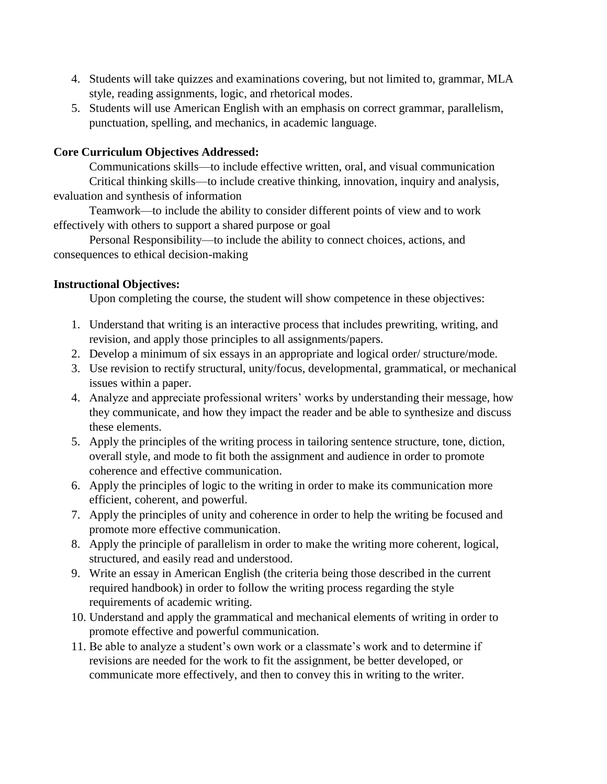- 4. Students will take quizzes and examinations covering, but not limited to, grammar, MLA style, reading assignments, logic, and rhetorical modes.
- 5. Students will use American English with an emphasis on correct grammar, parallelism, punctuation, spelling, and mechanics, in academic language.

# **Core Curriculum Objectives Addressed:**

Communications skills—to include effective written, oral, and visual communication Critical thinking skills—to include creative thinking, innovation, inquiry and analysis, evaluation and synthesis of information

Teamwork—to include the ability to consider different points of view and to work effectively with others to support a shared purpose or goal

Personal Responsibility—to include the ability to connect choices, actions, and consequences to ethical decision-making

# **Instructional Objectives:**

Upon completing the course, the student will show competence in these objectives:

- 1. Understand that writing is an interactive process that includes prewriting, writing, and revision, and apply those principles to all assignments/papers.
- 2. Develop a minimum of six essays in an appropriate and logical order/ structure/mode.
- 3. Use revision to rectify structural, unity/focus, developmental, grammatical, or mechanical issues within a paper.
- 4. Analyze and appreciate professional writers' works by understanding their message, how they communicate, and how they impact the reader and be able to synthesize and discuss these elements.
- 5. Apply the principles of the writing process in tailoring sentence structure, tone, diction, overall style, and mode to fit both the assignment and audience in order to promote coherence and effective communication.
- 6. Apply the principles of logic to the writing in order to make its communication more efficient, coherent, and powerful.
- 7. Apply the principles of unity and coherence in order to help the writing be focused and promote more effective communication.
- 8. Apply the principle of parallelism in order to make the writing more coherent, logical, structured, and easily read and understood.
- 9. Write an essay in American English (the criteria being those described in the current required handbook) in order to follow the writing process regarding the style requirements of academic writing.
- 10. Understand and apply the grammatical and mechanical elements of writing in order to promote effective and powerful communication.
- 11. Be able to analyze a student's own work or a classmate's work and to determine if revisions are needed for the work to fit the assignment, be better developed, or communicate more effectively, and then to convey this in writing to the writer.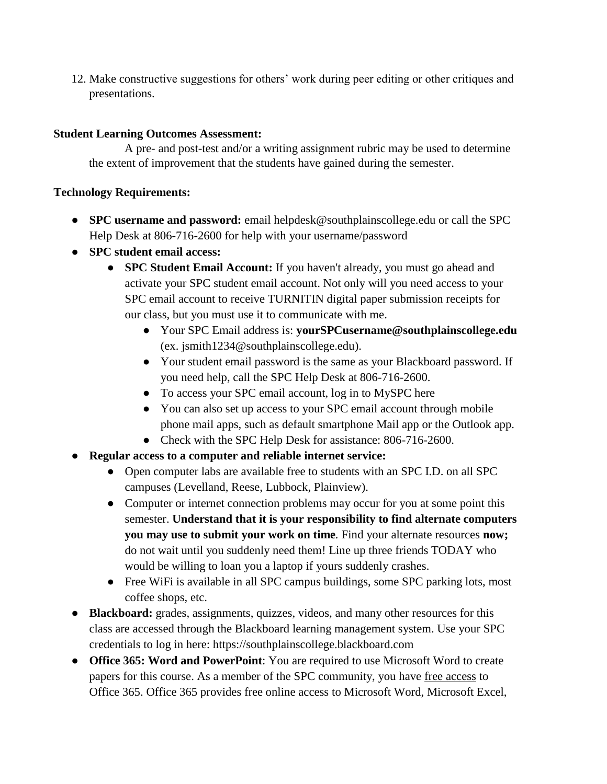12. Make constructive suggestions for others' work during peer editing or other critiques and presentations.

# **Student Learning Outcomes Assessment:**

A pre- and post-test and/or a writing assignment rubric may be used to determine the extent of improvement that the students have gained during the semester.

### **Technology Requirements:**

- **SPC username and password:** email helpdesk@southplainscollege.edu or call the SPC Help Desk at 806-716-2600 for help with your username/password
- **SPC student email access:**
	- **SPC Student Email Account:** If you haven't already, you must go ahead and activate your SPC student email account. Not only will you need access to your SPC email account to receive TURNITIN digital paper submission receipts for our class, but you must use it to communicate with me.
		- Your SPC Email address is: **yourSPCusername@southplainscollege.edu** (ex. jsmith1234@southplainscollege.edu).
		- Your student email password is the same as your Blackboard password. If you need help, call the SPC Help Desk at 806-716-2600.
		- To access your SPC email account, log in to MySPC here
		- You can also set up access to your SPC email account through mobile phone mail apps, such as default smartphone Mail app or the Outlook app.
		- Check with the SPC Help Desk for assistance: 806-716-2600.
- **Regular access to a computer and reliable internet service:**
	- Open computer labs are available free to students with an SPC I.D. on all SPC campuses (Levelland, Reese, Lubbock, Plainview).
	- Computer or internet connection problems may occur for you at some point this semester. **Understand that it is your responsibility to find alternate computers you may use to submit your work on time***.* Find your alternate resources **now;** do not wait until you suddenly need them! Line up three friends TODAY who would be willing to loan you a laptop if yours suddenly crashes.
	- Free WiFi is available in all SPC campus buildings, some SPC parking lots, most coffee shops, etc.
- **Blackboard:** grades, assignments, quizzes, videos, and many other resources for this class are accessed through the Blackboard learning management system. Use your SPC credentials to log in here: https://southplainscollege.blackboard.com
- **Office 365: Word and PowerPoint**: You are required to use Microsoft Word to create papers for this course. As a member of the SPC community, you have free access to Office 365. Office 365 provides free online access to Microsoft Word, Microsoft Excel,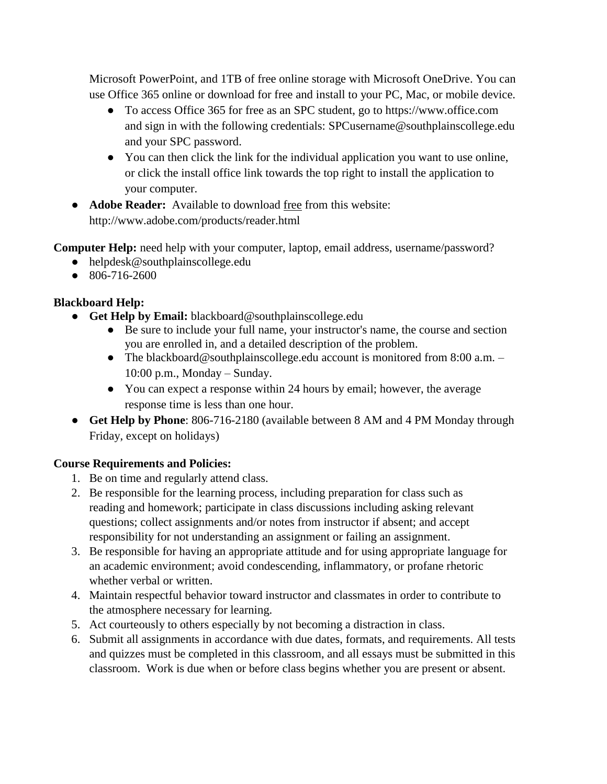Microsoft PowerPoint, and 1TB of free online storage with Microsoft OneDrive. You can use Office 365 online or download for free and install to your PC, Mac, or mobile device.

- To access Office 365 for free as an SPC student, go to https://www.office.com and sign in with the following credentials: SPCusername@southplainscollege.edu and your SPC password.
- You can then click the link for the individual application you want to use online, or click the install office link towards the top right to install the application to your computer.
- **Adobe Reader:** Available to download free from this website: http://www.adobe.com/products/reader.html

**Computer Help:** need help with your computer, laptop, email address, username/password?

- helpdesk@southplainscollege.edu
- 806-716-2600

# **Blackboard Help:**

- **Get Help by Email:** blackboard@southplainscollege.edu
	- Be sure to include your full name, your instructor's name, the course and section you are enrolled in, and a detailed description of the problem.
	- The blackboard@southplainscollege.edu account is monitored from 8:00 a.m. -10:00 p.m., Monday – Sunday.
	- You can expect a response within 24 hours by email; however, the average response time is less than one hour.
- **Get Help by Phone**: 806-716-2180 (available between 8 AM and 4 PM Monday through Friday, except on holidays)

# **Course Requirements and Policies:**

- 1. Be on time and regularly attend class.
- 2. Be responsible for the learning process, including preparation for class such as reading and homework; participate in class discussions including asking relevant questions; collect assignments and/or notes from instructor if absent; and accept responsibility for not understanding an assignment or failing an assignment.
- 3. Be responsible for having an appropriate attitude and for using appropriate language for an academic environment; avoid condescending, inflammatory, or profane rhetoric whether verbal or written.
- 4. Maintain respectful behavior toward instructor and classmates in order to contribute to the atmosphere necessary for learning.
- 5. Act courteously to others especially by not becoming a distraction in class.
- 6. Submit all assignments in accordance with due dates, formats, and requirements. All tests and quizzes must be completed in this classroom, and all essays must be submitted in this classroom. Work is due when or before class begins whether you are present or absent.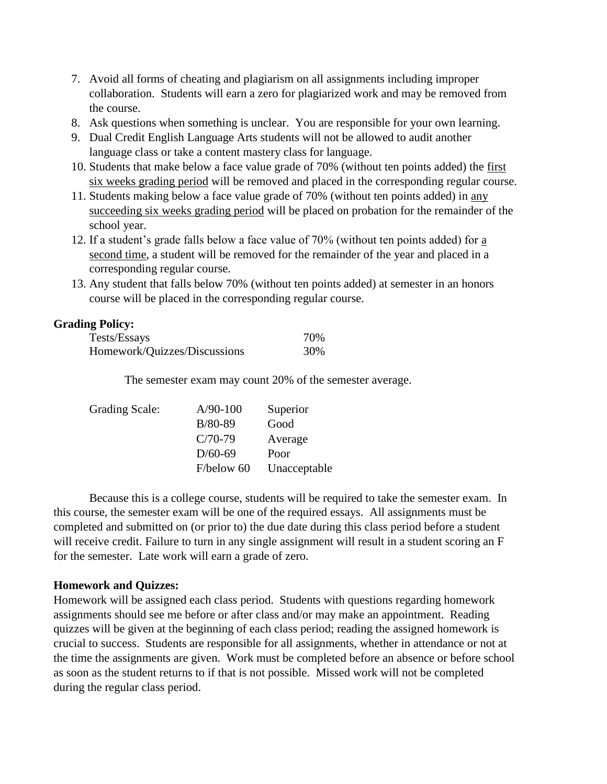- 7. Avoid all forms of cheating and plagiarism on all assignments including improper collaboration. Students will earn a zero for plagiarized work and may be removed from the course.
- 8. Ask questions when something is unclear. You are responsible for your own learning.
- 9. Dual Credit English Language Arts students will not be allowed to audit another language class or take a content mastery class for language.
- 10. Students that make below a face value grade of 70% (without ten points added) the first six weeks grading period will be removed and placed in the corresponding regular course.
- 11. Students making below a face value grade of 70% (without ten points added) in any succeeding six weeks grading period will be placed on probation for the remainder of the school year.
- 12. If a student's grade falls below a face value of 70% (without ten points added) for a second time, a student will be removed for the remainder of the year and placed in a corresponding regular course.
- 13. Any student that falls below 70% (without ten points added) at semester in an honors course will be placed in the corresponding regular course.

### **Grading Policy:**

| Tests/Essays                 | 70% |
|------------------------------|-----|
| Homework/Quizzes/Discussions | 30% |

The semester exam may count 20% of the semester average.

| <b>Grading Scale:</b> | $A/90-100$ | Superior     |
|-----------------------|------------|--------------|
|                       | $B/80-89$  | Good         |
|                       | $C/70-79$  | Average      |
|                       | $D/60-69$  | Poor         |
|                       | F/below 60 | Unacceptable |

Because this is a college course, students will be required to take the semester exam. In this course, the semester exam will be one of the required essays. All assignments must be completed and submitted on (or prior to) the due date during this class period before a student will receive credit. Failure to turn in any single assignment will result in a student scoring an F for the semester. Late work will earn a grade of zero.

### **Homework and Quizzes:**

Homework will be assigned each class period. Students with questions regarding homework assignments should see me before or after class and/or may make an appointment. Reading quizzes will be given at the beginning of each class period; reading the assigned homework is crucial to success. Students are responsible for all assignments, whether in attendance or not at the time the assignments are given. Work must be completed before an absence or before school as soon as the student returns to if that is not possible. Missed work will not be completed during the regular class period.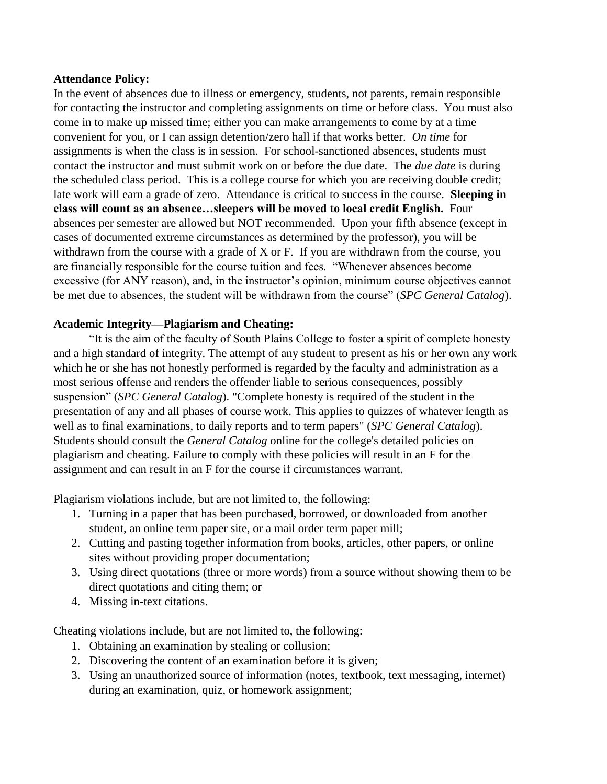### **Attendance Policy:**

In the event of absences due to illness or emergency, students, not parents, remain responsible for contacting the instructor and completing assignments on time or before class. You must also come in to make up missed time; either you can make arrangements to come by at a time convenient for you, or I can assign detention/zero hall if that works better. *On time* for assignments is when the class is in session. For school-sanctioned absences, students must contact the instructor and must submit work on or before the due date. The *due date* is during the scheduled class period. This is a college course for which you are receiving double credit; late work will earn a grade of zero. Attendance is critical to success in the course. **Sleeping in class will count as an absence…sleepers will be moved to local credit English.** Four absences per semester are allowed but NOT recommended. Upon your fifth absence (except in cases of documented extreme circumstances as determined by the professor), you will be withdrawn from the course with a grade of X or F. If you are withdrawn from the course, you are financially responsible for the course tuition and fees. "Whenever absences become excessive (for ANY reason), and, in the instructor's opinion, minimum course objectives cannot be met due to absences, the student will be withdrawn from the course" (*SPC General Catalog*).

### **Academic Integrity—Plagiarism and Cheating:**

"It is the aim of the faculty of South Plains College to foster a spirit of complete honesty and a high standard of integrity. The attempt of any student to present as his or her own any work which he or she has not honestly performed is regarded by the faculty and administration as a most serious offense and renders the offender liable to serious consequences, possibly suspension" (*SPC General Catalog*). "Complete honesty is required of the student in the presentation of any and all phases of course work. This applies to quizzes of whatever length as well as to final examinations, to daily reports and to term papers" (*SPC General Catalog*). Students should consult the *General Catalog* online for the college's detailed policies on plagiarism and cheating. Failure to comply with these policies will result in an F for the assignment and can result in an F for the course if circumstances warrant.

Plagiarism violations include, but are not limited to, the following:

- 1. Turning in a paper that has been purchased, borrowed, or downloaded from another student, an online term paper site, or a mail order term paper mill;
- 2. Cutting and pasting together information from books, articles, other papers, or online sites without providing proper documentation;
- 3. Using direct quotations (three or more words) from a source without showing them to be direct quotations and citing them; or
- 4. Missing in-text citations.

Cheating violations include, but are not limited to, the following:

- 1. Obtaining an examination by stealing or collusion;
- 2. Discovering the content of an examination before it is given;
- 3. Using an unauthorized source of information (notes, textbook, text messaging, internet) during an examination, quiz, or homework assignment;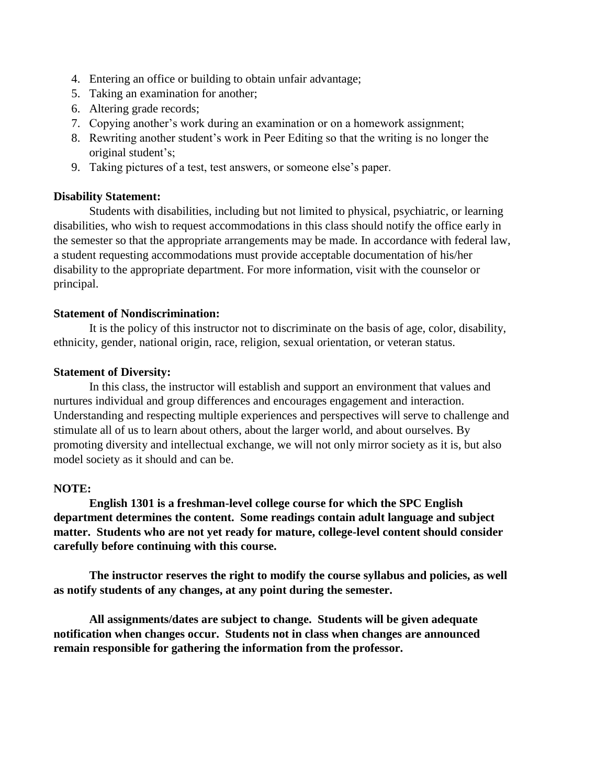- 4. Entering an office or building to obtain unfair advantage;
- 5. Taking an examination for another;
- 6. Altering grade records;
- 7. Copying another's work during an examination or on a homework assignment;
- 8. Rewriting another student's work in Peer Editing so that the writing is no longer the original student's;
- 9. Taking pictures of a test, test answers, or someone else's paper.

#### **Disability Statement:**

Students with disabilities, including but not limited to physical, psychiatric, or learning disabilities, who wish to request accommodations in this class should notify the office early in the semester so that the appropriate arrangements may be made. In accordance with federal law, a student requesting accommodations must provide acceptable documentation of his/her disability to the appropriate department. For more information, visit with the counselor or principal.

#### **Statement of Nondiscrimination:**

It is the policy of this instructor not to discriminate on the basis of age, color, disability, ethnicity, gender, national origin, race, religion, sexual orientation, or veteran status.

#### **Statement of Diversity:**

In this class, the instructor will establish and support an environment that values and nurtures individual and group differences and encourages engagement and interaction. Understanding and respecting multiple experiences and perspectives will serve to challenge and stimulate all of us to learn about others, about the larger world, and about ourselves. By promoting diversity and intellectual exchange, we will not only mirror society as it is, but also model society as it should and can be.

#### **NOTE:**

**English 1301 is a freshman-level college course for which the SPC English department determines the content. Some readings contain adult language and subject matter. Students who are not yet ready for mature, college-level content should consider carefully before continuing with this course.** 

**The instructor reserves the right to modify the course syllabus and policies, as well as notify students of any changes, at any point during the semester.** 

**All assignments/dates are subject to change. Students will be given adequate notification when changes occur. Students not in class when changes are announced remain responsible for gathering the information from the professor.**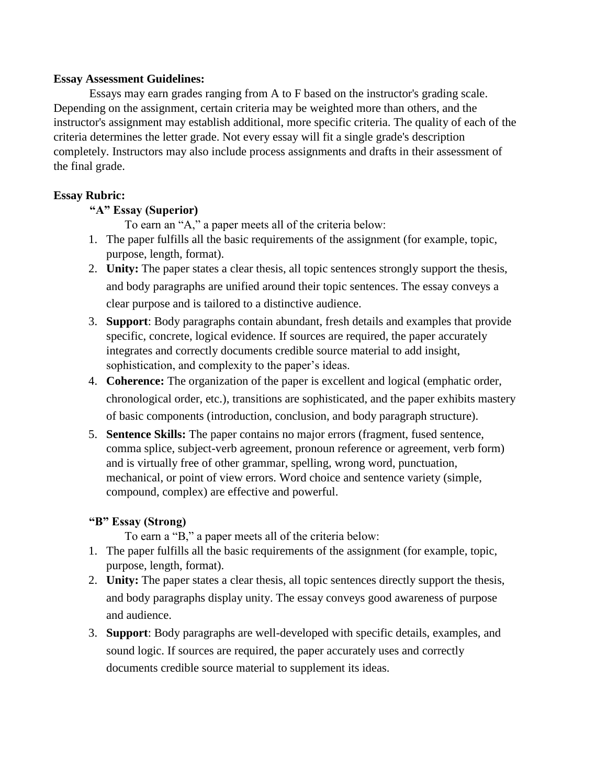### **Essay Assessment Guidelines:**

Essays may earn grades ranging from A to F based on the instructor's grading scale. Depending on the assignment, certain criteria may be weighted more than others, and the instructor's assignment may establish additional, more specific criteria. The quality of each of the criteria determines the letter grade. Not every essay will fit a single grade's description completely. Instructors may also include process assignments and drafts in their assessment of the final grade.

# **Essay Rubric:**

# **"A" Essay (Superior)**

To earn an "A," a paper meets all of the criteria below:

- 1. The paper fulfills all the basic requirements of the assignment (for example, topic, purpose, length, format).
- 2. **Unity:** The paper states a clear thesis, all topic sentences strongly support the thesis, and body paragraphs are unified around their topic sentences. The essay conveys a clear purpose and is tailored to a distinctive audience.
- 3. **Support**: Body paragraphs contain abundant, fresh details and examples that provide specific, concrete, logical evidence. If sources are required, the paper accurately integrates and correctly documents credible source material to add insight, sophistication, and complexity to the paper's ideas.
- 4. **Coherence:** The organization of the paper is excellent and logical (emphatic order, chronological order, etc.), transitions are sophisticated, and the paper exhibits mastery of basic components (introduction, conclusion, and body paragraph structure).
- 5. **Sentence Skills:** The paper contains no major errors (fragment, fused sentence, comma splice, subject-verb agreement, pronoun reference or agreement, verb form) and is virtually free of other grammar, spelling, wrong word, punctuation, mechanical, or point of view errors. Word choice and sentence variety (simple, compound, complex) are effective and powerful.

# **"B" Essay (Strong)**

To earn a "B," a paper meets all of the criteria below:

- 1. The paper fulfills all the basic requirements of the assignment (for example, topic, purpose, length, format).
- 2. **Unity:** The paper states a clear thesis, all topic sentences directly support the thesis, and body paragraphs display unity. The essay conveys good awareness of purpose and audience.
- 3. **Support**: Body paragraphs are well-developed with specific details, examples, and sound logic. If sources are required, the paper accurately uses and correctly documents credible source material to supplement its ideas.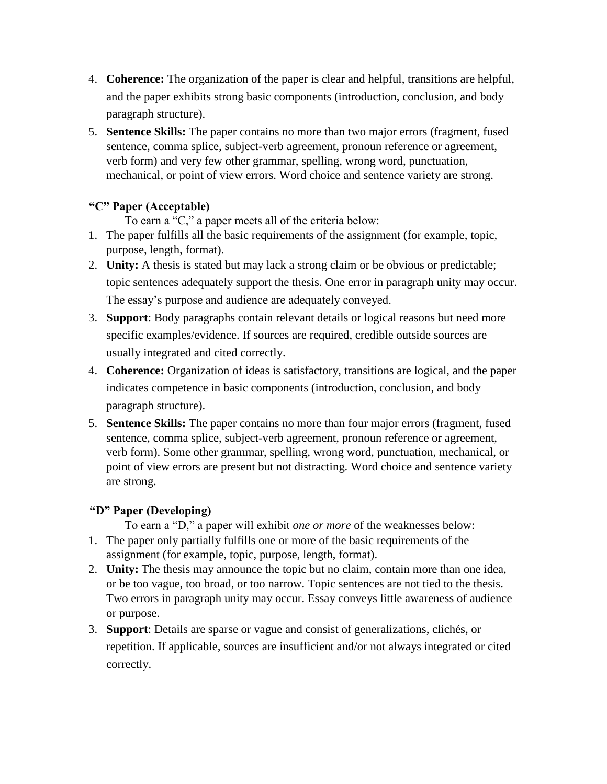- 4. **Coherence:** The organization of the paper is clear and helpful, transitions are helpful, and the paper exhibits strong basic components (introduction, conclusion, and body paragraph structure).
- 5. **Sentence Skills:** The paper contains no more than two major errors (fragment, fused sentence, comma splice, subject-verb agreement, pronoun reference or agreement, verb form) and very few other grammar, spelling, wrong word, punctuation, mechanical, or point of view errors. Word choice and sentence variety are strong.

# **"C" Paper (Acceptable)**

To earn a "C," a paper meets all of the criteria below:

- 1. The paper fulfills all the basic requirements of the assignment (for example, topic, purpose, length, format).
- 2. **Unity:** A thesis is stated but may lack a strong claim or be obvious or predictable; topic sentences adequately support the thesis. One error in paragraph unity may occur. The essay's purpose and audience are adequately conveyed.
- 3. **Support**: Body paragraphs contain relevant details or logical reasons but need more specific examples/evidence. If sources are required, credible outside sources are usually integrated and cited correctly.
- 4. **Coherence:** Organization of ideas is satisfactory, transitions are logical, and the paper indicates competence in basic components (introduction, conclusion, and body paragraph structure).
- 5. **Sentence Skills:** The paper contains no more than four major errors (fragment, fused sentence, comma splice, subject-verb agreement, pronoun reference or agreement, verb form). Some other grammar, spelling, wrong word, punctuation, mechanical, or point of view errors are present but not distracting. Word choice and sentence variety are strong.

# **"D" Paper (Developing)**

To earn a "D," a paper will exhibit *one or more* of the weaknesses below: 1. The paper only partially fulfills one or more of the basic requirements of the assignment (for example, topic, purpose, length, format).

- 2. **Unity:** The thesis may announce the topic but no claim, contain more than one idea, or be too vague, too broad, or too narrow. Topic sentences are not tied to the thesis. Two errors in paragraph unity may occur. Essay conveys little awareness of audience or purpose.
- 3. **Support**: Details are sparse or vague and consist of generalizations, clichés, or repetition. If applicable, sources are insufficient and/or not always integrated or cited correctly.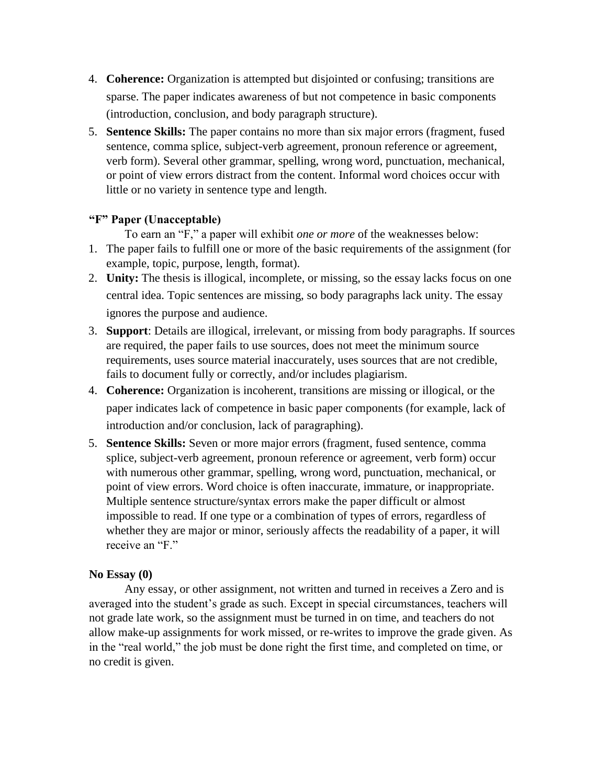- 4. **Coherence:** Organization is attempted but disjointed or confusing; transitions are sparse. The paper indicates awareness of but not competence in basic components (introduction, conclusion, and body paragraph structure).
- 5. **Sentence Skills:** The paper contains no more than six major errors (fragment, fused sentence, comma splice, subject-verb agreement, pronoun reference or agreement, verb form). Several other grammar, spelling, wrong word, punctuation, mechanical, or point of view errors distract from the content. Informal word choices occur with little or no variety in sentence type and length.

#### **"F" Paper (Unacceptable)**

To earn an "F," a paper will exhibit *one or more* of the weaknesses below:

- 1. The paper fails to fulfill one or more of the basic requirements of the assignment (for example, topic, purpose, length, format).
- 2. **Unity:** The thesis is illogical, incomplete, or missing, so the essay lacks focus on one central idea. Topic sentences are missing, so body paragraphs lack unity. The essay ignores the purpose and audience.
- 3. **Support**: Details are illogical, irrelevant, or missing from body paragraphs. If sources are required, the paper fails to use sources, does not meet the minimum source requirements, uses source material inaccurately, uses sources that are not credible, fails to document fully or correctly, and/or includes plagiarism.
- 4. **Coherence:** Organization is incoherent, transitions are missing or illogical, or the paper indicates lack of competence in basic paper components (for example, lack of introduction and/or conclusion, lack of paragraphing).
- 5. **Sentence Skills:** Seven or more major errors (fragment, fused sentence, comma splice, subject-verb agreement, pronoun reference or agreement, verb form) occur with numerous other grammar, spelling, wrong word, punctuation, mechanical, or point of view errors. Word choice is often inaccurate, immature, or inappropriate. Multiple sentence structure/syntax errors make the paper difficult or almost impossible to read. If one type or a combination of types of errors, regardless of whether they are major or minor, seriously affects the readability of a paper, it will receive an "F."

#### **No Essay (0)**

Any essay, or other assignment, not written and turned in receives a Zero and is averaged into the student's grade as such. Except in special circumstances, teachers will not grade late work, so the assignment must be turned in on time, and teachers do not allow make-up assignments for work missed, or re-writes to improve the grade given. As in the "real world," the job must be done right the first time, and completed on time, or no credit is given.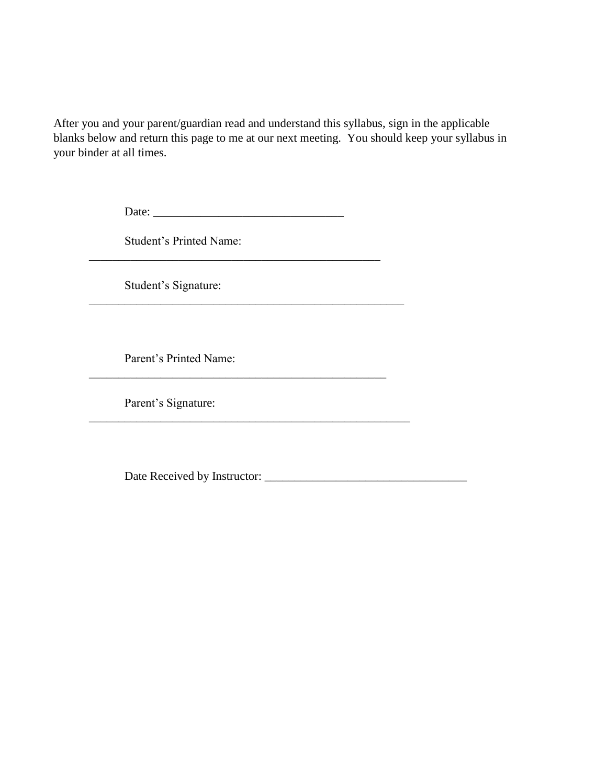After you and your parent/guardian read and understand this syllabus, sign in the applicable blanks below and return this page to me at our next meeting. You should keep your syllabus in your binder at all times.

Date: \_\_\_\_\_\_\_\_\_\_\_\_\_\_\_\_\_\_\_\_\_\_\_\_\_\_\_\_\_\_\_\_

\_\_\_\_\_\_\_\_\_\_\_\_\_\_\_\_\_\_\_\_\_\_\_\_\_\_\_\_\_\_\_\_\_\_\_\_\_\_\_\_\_\_\_\_\_\_\_\_\_

\_\_\_\_\_\_\_\_\_\_\_\_\_\_\_\_\_\_\_\_\_\_\_\_\_\_\_\_\_\_\_\_\_\_\_\_\_\_\_\_\_\_\_\_\_\_\_\_\_\_

\_\_\_\_\_\_\_\_\_\_\_\_\_\_\_\_\_\_\_\_\_\_\_\_\_\_\_\_\_\_\_\_\_\_\_\_\_\_\_\_\_\_\_\_\_\_\_\_\_\_\_\_\_\_

Student's Printed Name:

Student's Signature:

Parent's Printed Name:

Parent's Signature:

Date Received by Instructor: \_\_\_\_\_\_\_\_\_\_\_\_\_\_\_\_\_\_\_\_\_\_\_\_\_\_\_\_\_\_\_\_\_\_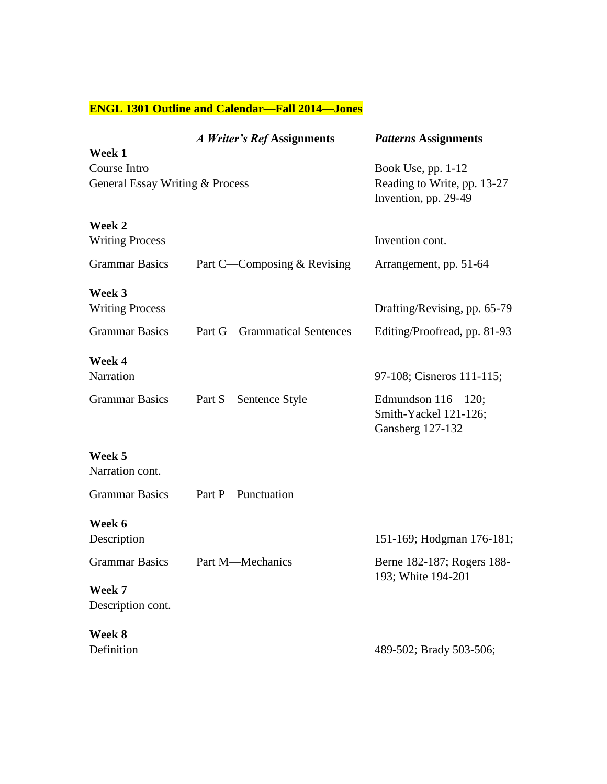# **ENGL 1301 Outline and Calendar—Fall 2014—Jones**

|                                                 | A Writer's Ref Assignments          | <b>Patterns Assignments</b>                                                 |
|-------------------------------------------------|-------------------------------------|-----------------------------------------------------------------------------|
| Week 1                                          |                                     |                                                                             |
| Course Intro<br>General Essay Writing & Process |                                     | Book Use, pp. $1-12$<br>Reading to Write, pp. 13-27<br>Invention, pp. 29-49 |
| Week 2<br><b>Writing Process</b>                |                                     | Invention cont.                                                             |
| <b>Grammar Basics</b>                           | Part C—Composing & Revising         | Arrangement, pp. 51-64                                                      |
| Week 3                                          |                                     |                                                                             |
| <b>Writing Process</b>                          |                                     | Drafting/Revising, pp. 65-79                                                |
| <b>Grammar Basics</b>                           | <b>Part G—Grammatical Sentences</b> | Editing/Proofread, pp. 81-93                                                |
| Week 4<br>Narration                             |                                     | 97-108; Cisneros 111-115;                                                   |
| <b>Grammar Basics</b>                           | Part S—Sentence Style               | Edmundson $116 - 120$ ;<br>Smith-Yackel 121-126;<br><b>Gansberg 127-132</b> |
| Week 5                                          |                                     |                                                                             |
| Narration cont.                                 |                                     |                                                                             |
| <b>Grammar Basics</b>                           | Part P-Punctuation                  |                                                                             |
| Week 6                                          |                                     |                                                                             |
| Description                                     |                                     | 151-169; Hodgman 176-181;                                                   |
| <b>Grammar Basics</b>                           | Part M—Mechanics                    | Berne 182-187; Rogers 188-<br>193; White 194-201                            |
| Week 7                                          |                                     |                                                                             |
| Description cont.                               |                                     |                                                                             |
| Week 8                                          |                                     |                                                                             |
| Definition                                      |                                     | 489-502; Brady 503-506;                                                     |